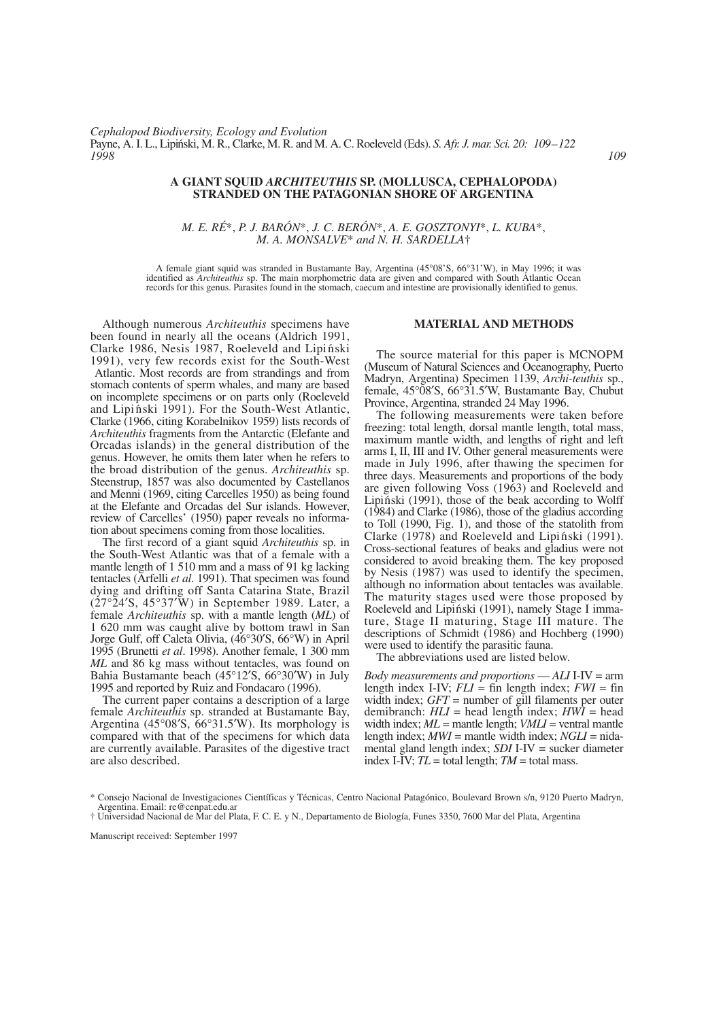## **A GIANT SQUID** *ARCHITEUTHIS* **SP. (MOLLUSCA, CEPHALOPODA) STRANDED ON THE PATAGONIAN SHORE OF ARGENTINA**

*M. E. RÉ*\*, *P. J. BARÓN*\*, *J. C. BERÓN*\*, *A. E. GOSZTONYI*\*, *L. KUBA*\*, *M. A. MONSALVE*\* *and N. H. SARDELLA*†

A female giant squid was stranded in Bustamante Bay, Argentina (45°08'S, 66°31'W), in May 1996; it was identified as *Architeuthis* sp. The main morphometric data are given and compared with South Atlantic Ocean records for this genus. Parasites found in the stomach, caecum and intestine are provisionally identified to genus.

Although numerous *Architeuthis* specimens have been found in nearly all the oceans (Aldrich 1991, Clarke 1986, Nesis 1987, Roeleveld and Lipiński 1991), very few records exist for the South-West Atlantic. Most records are from strandings and from stomach contents of sperm whales, and many are based on incomplete specimens or on parts only (Roeleveld and Lipinski 1991). For the South-West Atlantic, Clarke (1966, citing Korabelnikov 1959) lists records of *Architeuthis* fragments from the Antarctic (Elefante and Orcadas islands) in the general distribution of the genus. However, he omits them later when he refers to the broad distribution of the genus. *Architeuthis* sp. Steenstrup, 1857 was also documented by Castellanos and Menni (1969, citing Carcelles 1950) as being found at the Elefante and Orcadas del Sur islands. However, review of Carcelles' (1950) paper reveals no information about specimens coming from those localities.

The first record of a giant squid *Architeuthis* sp. in the South-West Atlantic was that of a female with a mantle length of 1 510 mm and a mass of 91 kg lacking tentacles (Arfelli *et al*. 1991). That specimen was found dying and drifting off Santa Catarina State, Brazil  $(27°24'S, 45°37'W)$  in September 1989. Later, a female *Architeuthis* sp. with a mantle length (*ML*) of 1 620 mm was caught alive by bottom trawl in San Jorge Gulf, off Caleta Olivia, (46°30′S, 66°W) in April 1995 (Brunetti *et al*. 1998). Another female, 1 300 mm *ML* and 86 kg mass without tentacles, was found on Bahia Bustamante beach (45°12′S, 66°30′W) in July 1995 and reported by Ruiz and Fondacaro (1996).

The current paper contains a description of a large female *Architeuthis* sp. stranded at Bustamante Bay, Argentina (45°08′S, 66°31.5′W). Its morphology is compared with that of the specimens for which data are currently available. Parasites of the digestive tract are also described.

## **MATERIAL AND METHODS**

The source material for this paper is MCNOPM (Museum of Natural Sciences and Oceanography, Puerto Madryn, Argentina) Specimen 1139, *Archi-teuthis* sp., female, 45°08′S, 66°31.5′W, Bustamante Bay, Chubut Province, Argentina, stranded 24 May 1996.

The following measurements were taken before freezing: total length, dorsal mantle length, total mass, maximum mantle width, and lengths of right and left arms I, II, III and IV. Other general measurements were made in July 1996, after thawing the specimen for three days. Measurements and proportions of the body are given following Voss (1963) and Roeleveld and Lipinski (1991), those of the beak according to Wolff (1984) and Clarke (1986), those of the gladius according to Toll (1990, Fig. 1), and those of the statolith from Clarke  $(1978)$  and Roeleveld and Lipinski  $(1991)$ . Cross-sectional features of beaks and gladius were not considered to avoid breaking them. The key proposed by Nesis (1987) was used to identify the specimen, although no information about tentacles was available. The maturity stages used were those proposed by Roeleveld and Lipiński (1991), namely Stage I immature, Stage II maturing, Stage III mature. The descriptions of Schmidt (1986) and Hochberg (1990) were used to identify the parasitic fauna.

The abbreviations used are listed below.

*Body measurements and proportions* — *ALI* I-IV = arm length index I-IV;  $FLI = \text{fin length index}$ ;  $FWI = \text{fin}$ width index; *GFT* = number of gill filaments per outer demibranch: *HLI* = head length index; *HWI* = head width index;  $ML$  = mantle length;  $VML$  = ventral mantle length index; *MWI* = mantle width index; *NGLI* = nidamental gland length index; *SDI* I-IV = sucker diameter index I-IV;  $TL =$  total length;  $TM =$  total mass.

Manuscript received: September 1997

<sup>\*</sup> Consejo Nacional de Investigaciones Científicas y Técnicas, Centro Nacional Patagónico, Boulevard Brown s/n, 9120 Puerto Madryn, Argentina. Email: re@cenpat.edu.ar

<sup>†</sup> Universidad Nacional de Mar del Plata, F. C. E. y N., Departamento de Biología, Funes 3350, 7600 Mar del Plata, Argentina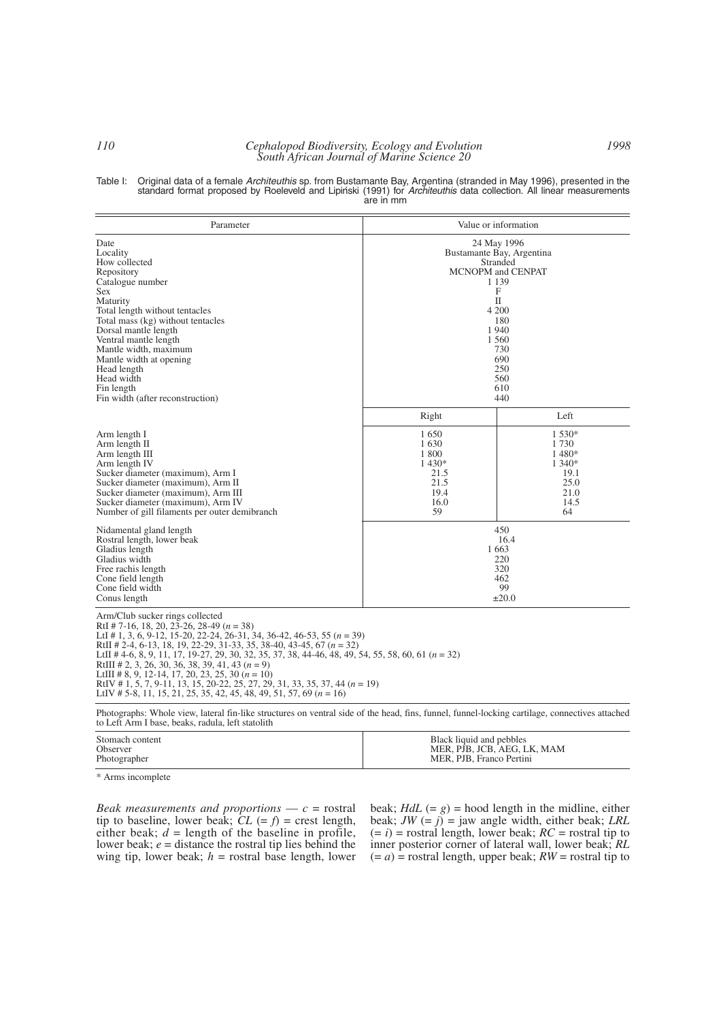# *110 Cephalopod Biodiversity, Ecology and Evolution South African Journal of Marine Science 20*

| Table I: Original data of a female Architeuthis sp. from Bustamante Bay, Argentina (stranded in May 1996), presented in the |
|-----------------------------------------------------------------------------------------------------------------------------|
| standard format proposed by Roeleveld and Lipiński (1991) for Architeuthis data collection. All linear measurements         |
| are in mm                                                                                                                   |

| Parameter                                                                                                                                                                                                                                                                                                                                                                                                                                                                                                                                                                                                                        |                                                                                                                                                                           | Value or information                                                            |
|----------------------------------------------------------------------------------------------------------------------------------------------------------------------------------------------------------------------------------------------------------------------------------------------------------------------------------------------------------------------------------------------------------------------------------------------------------------------------------------------------------------------------------------------------------------------------------------------------------------------------------|---------------------------------------------------------------------------------------------------------------------------------------------------------------------------|---------------------------------------------------------------------------------|
| Date<br>Locality<br>How collected<br>Repository<br>Catalogue number<br><b>Sex</b><br>Maturity<br>Total length without tentacles<br>Total mass (kg) without tentacles<br>Dorsal mantle length<br>Ventral mantle length<br>Mantle width, maximum<br>Mantle width at opening<br>Head length<br>Head width<br>Fin length<br>Fin width (after reconstruction)                                                                                                                                                                                                                                                                         | 24 May 1996<br>Bustamante Bay, Argentina<br>Stranded<br>MCNOPM and CENPAT<br>1 1 3 9<br>F<br>П<br>4 200<br>180<br>1940<br>1 560<br>730<br>690<br>250<br>560<br>610<br>440 |                                                                                 |
| Arm length I<br>Arm length II<br>Arm length III<br>Arm length IV<br>Sucker diameter (maximum), Arm I<br>Sucker diameter (maximum), Arm II<br>Sucker diameter (maximum), Arm III<br>Sucker diameter (maximum), Arm IV<br>Number of gill filaments per outer demibranch                                                                                                                                                                                                                                                                                                                                                            | Right<br>1650<br>1630<br>1 800<br>1430*<br>21.5<br>21.5<br>19.4<br>16.0<br>59                                                                                             | Left<br>1 530*<br>1730<br>1480*<br>1 340*<br>19.1<br>25.0<br>21.0<br>14.5<br>64 |
| Nidamental gland length<br>Rostral length, lower beak<br>Gladius length<br>Gladius width<br>Free rachis length<br>Cone field length<br>Cone field width<br>Conus length                                                                                                                                                                                                                                                                                                                                                                                                                                                          | 450<br>16.4<br>1663<br>220<br>320<br>462<br>99<br>$\pm 20.0$                                                                                                              |                                                                                 |
| Arm/Club sucker rings collected<br>RtI # 7-16, 18, 20, 23-26, 28-49 ( $n = 38$ )<br>LtI # 1, 3, 6, 9-12, 15-20, 22-24, 26-31, 34, 36-42, 46-53, 55 $(n = 39)$<br>RtII # 2-4, 6-13, 18, 19, 22-29, 31-33, 35, 38-40, 43-45, 67 ( $n = 32$ )<br>LtII # 4-6, 8, 9, 11, 17, 19-27, 29, 30, 32, 35, 37, 38, 44-46, 48, 49, 54, 55, 58, 60, 61 ( $n = 32$ )<br>RtIII # 2, 3, 26, 30, 36, 38, 39, 41, 43 $(n = 9)$<br>LtIII # 8, 9, 12-14, 17, 20, 23, 25, 30 $(n = 10)$<br>RtIV # 1, 5, 7, 9-11, 13, 15, 20-22, 25, 27, 29, 31, 33, 35, 37, 44 ( $n = 19$ )<br>LtIV # 5-8, 11, 15, 21, 25, 35, 42, 45, 48, 49, 51, 57, 69 ( $n = 16$ ) |                                                                                                                                                                           |                                                                                 |

Photographs: Whole view, lateral fin-like structures on ventral side of the head, fins, funnel, funnel-locking cartilage, connectives attached to Left Arm I base, beaks, radula, left statolith

| Stomach content | Black liquid and pebbles    |
|-----------------|-----------------------------|
| Observer        | MER. PJB. JCB. AEG. LK. MAM |
| Photographer    | MER. PJB. Franco Pertini    |
|                 |                             |

\* Arms incomplete

*Beak measurements and proportions*  $\qquad$  *c* = rostral tip to baseline, lower beak;  $\dot{C}L$  (=  $f$ ) = crest length, either beak;  $d =$  length of the baseline in profile, lower beak; *e* = distance the rostral tip lies behind the wing tip, lower beak;  $h =$  rostral base length, lower beak;  $HdL (= g) =$  hood length in the midline, either beak;  $JW = j$  = jaw angle width, either beak; *LRL*  $(= i)$  = rostral length, lower beak;  $RC$  = rostral tip to inner posterior corner of lateral wall, lower beak; *RL*  $(= a)$  = rostral length, upper beak;  $RW$  = rostral tip to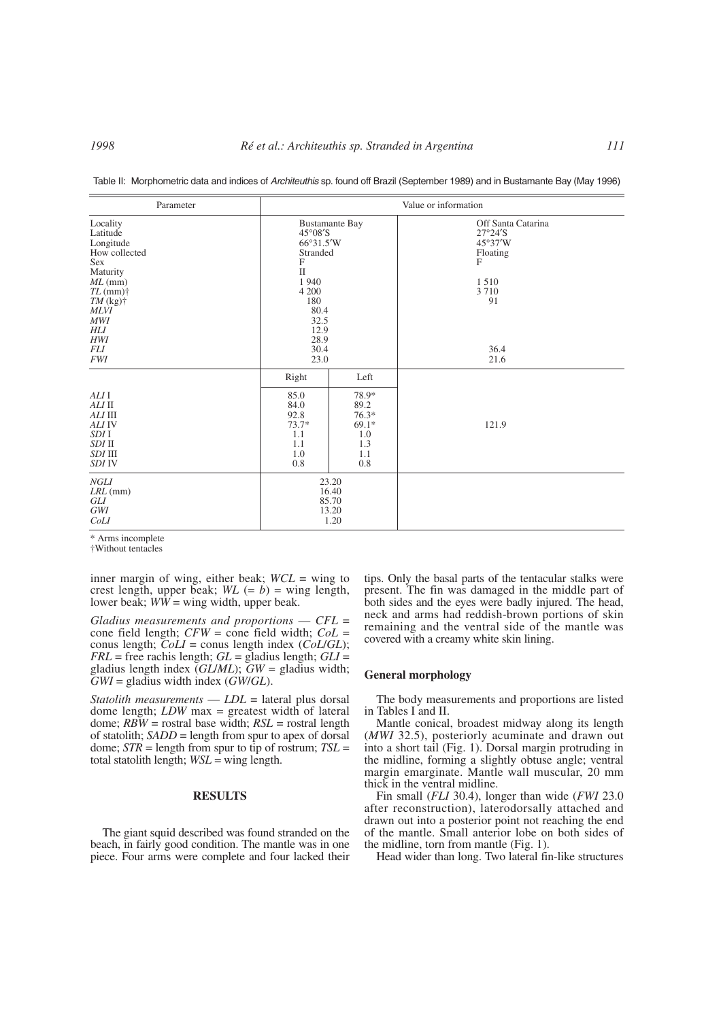| Parameter                                                                                                                                                                                        | Value or information                                                                                                                                                             |                                                                         |                                                                                                                        |  |
|--------------------------------------------------------------------------------------------------------------------------------------------------------------------------------------------------|----------------------------------------------------------------------------------------------------------------------------------------------------------------------------------|-------------------------------------------------------------------------|------------------------------------------------------------------------------------------------------------------------|--|
| Locality<br>Latitude<br>Longitude<br>How collected<br>Sex<br>Maturity<br>$ML$ (mm)<br>$TL$ (mm) $\dagger$<br>$TM$ (kg) $\dagger$<br><b>MLVI</b><br>MWI<br>HLI<br>HWI<br><i>FLI</i><br><b>FWI</b> | <b>Bustamante Bay</b><br>$45^{\circ}08^{\prime}S$<br>$66^{\circ}31.5'W$<br>Stranded<br>F<br>$\mathbf{I}$<br>1940<br>4 200<br>180<br>80.4<br>32.5<br>12.9<br>28.9<br>30.4<br>23.0 |                                                                         | Off Santa Catarina<br>$27°24'$ S<br>$45^{\circ}37'W$<br>Floating<br>$\mathbf{F}$<br>1510<br>3710<br>91<br>36.4<br>21.6 |  |
| ALI I<br>ALI II<br>ALI III<br>ALI IV<br>SDI I<br>SDI II<br>SDI III<br><b>SDI IV</b>                                                                                                              | Right<br>85.0<br>84.0<br>92.8<br>$73.7*$<br>1.1<br>1.1<br>1.0<br>0.8                                                                                                             | Left<br>78.9*<br>89.2<br>$76.3*$<br>$69.1*$<br>1.0<br>1.3<br>1.1<br>0.8 | 121.9                                                                                                                  |  |
| NGLI<br>$LRL$ (mm)<br>GLI<br>GWI<br>CoLI                                                                                                                                                         |                                                                                                                                                                                  | 23.20<br>16.40<br>85.70<br>13.20<br>1.20                                |                                                                                                                        |  |

Table II: Morphometric data and indices of *Architeuthis* sp. found off Brazil (September 1989) and in Bustamante Bay (May 1996)

\* Arms incomplete

†Without tentacles

inner margin of wing, either beak; *WCL* = wing to crest length, upper beak;  $WL (= b) =$  wing length, lower beak;  $WW =$  wing width, upper beak.

*Gladius measurements and proportions* — *CFL* <sup>=</sup> cone field length; *CFW* = cone field width; *CoL* <sup>=</sup> conus length; *CoLI* = conus length index (*CoL*/*GL*); *FRL* = free rachis length; *GL* = gladius length; *GLI* <sup>=</sup> gladius length index (*GL*/*ML*); *GW* = gladius width; *GWI* = gladius width index (*GW*/*GL*).

*Statolith measurements* — *LDL* = lateral plus dorsal dome length; *LDW* max = greatest width of lateral dome; *RBW* = rostral base width; *RSL* = rostral length of statolith; *SADD* = length from spur to apex of dorsal dome; *STR* = length from spur to tip of rostrum; *TSL* <sup>=</sup> total statolith length; *WSL* = wing length.

# **RESULTS**

The giant squid described was found stranded on the beach, in fairly good condition. The mantle was in one piece. Four arms were complete and four lacked their tips. Only the basal parts of the tentacular stalks were present. The fin was damaged in the middle part of both sides and the eyes were badly injured. The head, neck and arms had reddish-brown portions of skin remaining and the ventral side of the mantle was covered with a creamy white skin lining.

## **General morphology**

The body measurements and proportions are listed in Tables I and II.

Mantle conical, broadest midway along its length (*MWI* 32.5), posteriorly acuminate and drawn out into a short tail (Fig. 1). Dorsal margin protruding in the midline, forming a slightly obtuse angle; ventral margin emarginate. Mantle wall muscular, 20 mm thick in the ventral midline.

Fin small (*FLI* 30.4), longer than wide (*FWI* 23.0 after reconstruction), laterodorsally attached and drawn out into a posterior point not reaching the end of the mantle. Small anterior lobe on both sides of the midline, torn from mantle (Fig. 1).

Head wider than long. Two lateral fin-like structures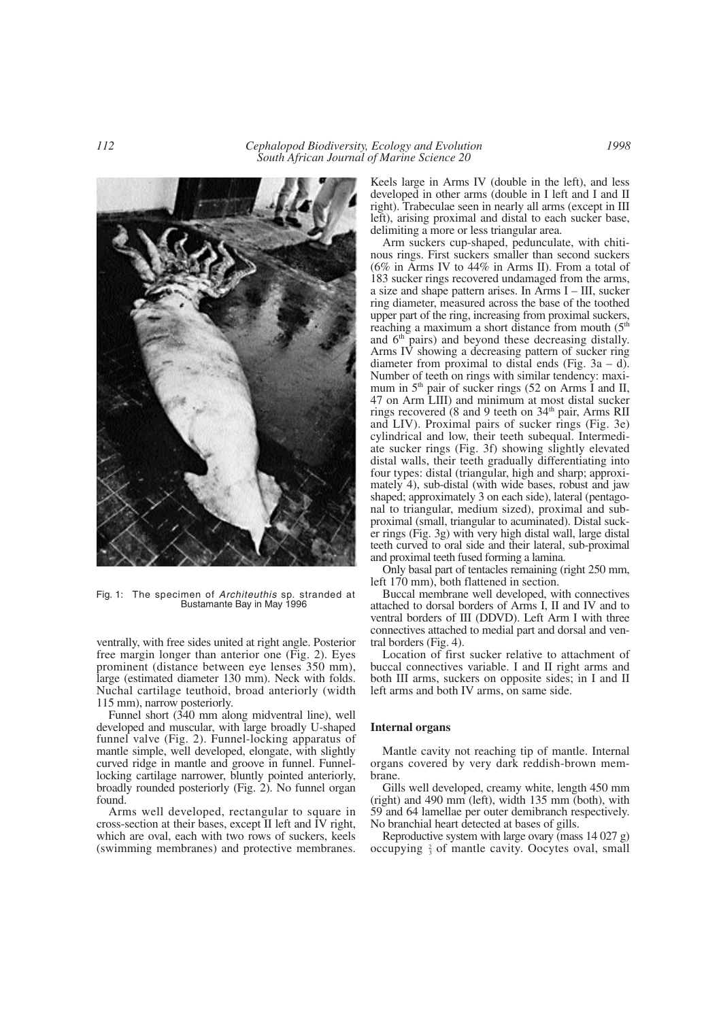

Fig. 1: The specimen of *Architeuthis* sp. stranded at Bustamante Bay in May 1996

ventrally, with free sides united at right angle. Posterior free margin longer than anterior one (Fig. 2). Eyes prominent (distance between eye lenses 350 mm), large (estimated diameter 130 mm). Neck with folds. Nuchal cartilage teuthoid, broad anteriorly (width 115 mm), narrow posteriorly.

Funnel short (340 mm along midventral line), well developed and muscular, with large broadly U-shaped funnel valve (Fig. 2). Funnel-locking apparatus of mantle simple, well developed, elongate, with slightly curved ridge in mantle and groove in funnel. Funnellocking cartilage narrower, bluntly pointed anteriorly, broadly rounded posteriorly (Fig. 2). No funnel organ found.

Arms well developed, rectangular to square in cross-section at their bases, except II left and IV right, which are oval, each with two rows of suckers, keels (swimming membranes) and protective membranes.

Keels large in Arms IV (double in the left), and less developed in other arms (double in I left and I and II right). Trabeculae seen in nearly all arms (except in III left), arising proximal and distal to each sucker base, delimiting a more or less triangular area.

Arm suckers cup-shaped, pedunculate, with chitinous rings. First suckers smaller than second suckers (6% in Arms IV to 44% in Arms II). From a total of 183 sucker rings recovered undamaged from the arms, a size and shape pattern arises. In Arms I – III, sucker ring diameter, measured across the base of the toothed upper part of the ring, increasing from proximal suckers, reaching a maximum a short distance from mouth  $(5<sup>th</sup>$ and  $6<sup>th</sup>$  pairs) and beyond these decreasing distally. Arms IV showing a decreasing pattern of sucker ring diameter from proximal to distal ends (Fig.  $3a - d$ ). Number of teeth on rings with similar tendency: maximum in  $5<sup>th</sup>$  pair of sucker rings (52 on Arms I and II, 47 on Arm LIII) and minimum at most distal sucker rings recovered  $(8 \text{ and } 9 \text{ teeth on } 34^{\text{th}} \text{ pair, Arms RH})$ and LIV). Proximal pairs of sucker rings (Fig. 3e) cylindrical and low, their teeth subequal. Intermediate sucker rings (Fig. 3f) showing slightly elevated distal walls, their teeth gradually differentiating into four types: distal (triangular, high and sharp; approximately 4), sub-distal (with wide bases, robust and jaw shaped; approximately 3 on each side), lateral (pentagonal to triangular, medium sized), proximal and subproximal (small, triangular to acuminated). Distal sucker rings (Fig. 3g) with very high distal wall, large distal teeth curved to oral side and their lateral, sub-proximal and proximal teeth fused forming a lamina.

Only basal part of tentacles remaining (right 250 mm, left 170 mm), both flattened in section.

Buccal membrane well developed, with connectives attached to dorsal borders of Arms I, II and IV and to ventral borders of III (DDVD). Left Arm I with three connectives attached to medial part and dorsal and ventral borders (Fig. 4).

Location of first sucker relative to attachment of buccal connectives variable. I and II right arms and both III arms, suckers on opposite sides; in I and II left arms and both IV arms, on same side.

## **Internal organs**

Mantle cavity not reaching tip of mantle. Internal organs covered by very dark reddish-brown membrane.

Gills well developed, creamy white, length 450 mm (right) and 490 mm (left), width 135 mm (both), with 59 and 64 lamellae per outer demibranch respectively. No branchial heart detected at bases of gills.

Reproductive system with large ovary (mass 14 027 g) occupying  $\frac{2}{3}$  of mantle cavity. Oocytes oval, small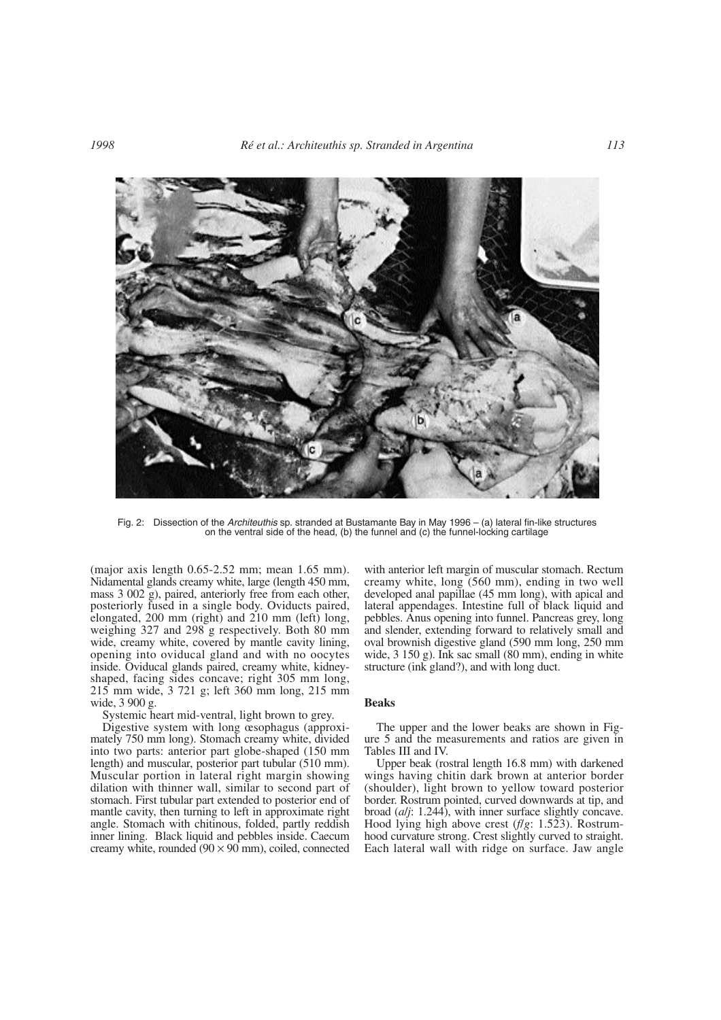

Fig. 2: Dissection of the *Architeuthis* sp. stranded at Bustamante Bay in May 1996 – (a) lateral fin-like structures on the ventral side of the head, (b) the funnel and (c) the funnel-locking cartilage

(major axis length 0.65-2.52 mm; mean 1.65 mm). Nidamental glands creamy white, large (length 450 mm, mass 3 002 g), paired, anteriorly free from each other, posteriorly fused in a single body. Oviducts paired, elongated, 200 mm (right) and 210 mm (left) long, weighing 327 and 298 g respectively. Both 80 mm wide, creamy white, covered by mantle cavity lining, opening into oviducal gland and with no oocytes inside. Oviducal glands paired, creamy white, kidneyshaped, facing sides concave; right 305 mm long, 215 mm wide, 3 721 g; left 360 mm long, 215 mm wide, 3 900 g.

Systemic heart mid-ventral, light brown to grey.

Digestive system with long œsophagus (approximately 750 mm long). Stomach creamy white, divided into two parts: anterior part globe-shaped (150 mm length) and muscular, posterior part tubular (510 mm). Muscular portion in lateral right margin showing dilation with thinner wall, similar to second part of stomach. First tubular part extended to posterior end of mantle cavity, then turning to left in approximate right angle. Stomach with chitinous, folded, partly reddish inner lining. Black liquid and pebbles inside. Caecum creamy white, rounded  $(90 \times 90 \text{ mm})$ , coiled, connected with anterior left margin of muscular stomach. Rectum creamy white, long (560 mm), ending in two well developed anal papillae (45 mm long), with apical and lateral appendages. Intestine full of black liquid and pebbles. Anus opening into funnel. Pancreas grey, long and slender, extending forward to relatively small and oval brownish digestive gland (590 mm long, 250 mm wide, 3 150 g). Ink sac small (80 mm), ending in white structure (ink gland?), and with long duct.

#### **Beaks**

The upper and the lower beaks are shown in Figure 5 and the measurements and ratios are given in Tables III and IV.

Upper beak (rostral length 16.8 mm) with darkened wings having chitin dark brown at anterior border (shoulder), light brown to yellow toward posterior border. Rostrum pointed, curved downwards at tip, and broad (*a*/*j*: 1.244), with inner surface slightly concave. Hood lying high above crest (*f*/*g*: 1.523). Rostrumhood curvature strong. Crest slightly curved to straight. Each lateral wall with ridge on surface. Jaw angle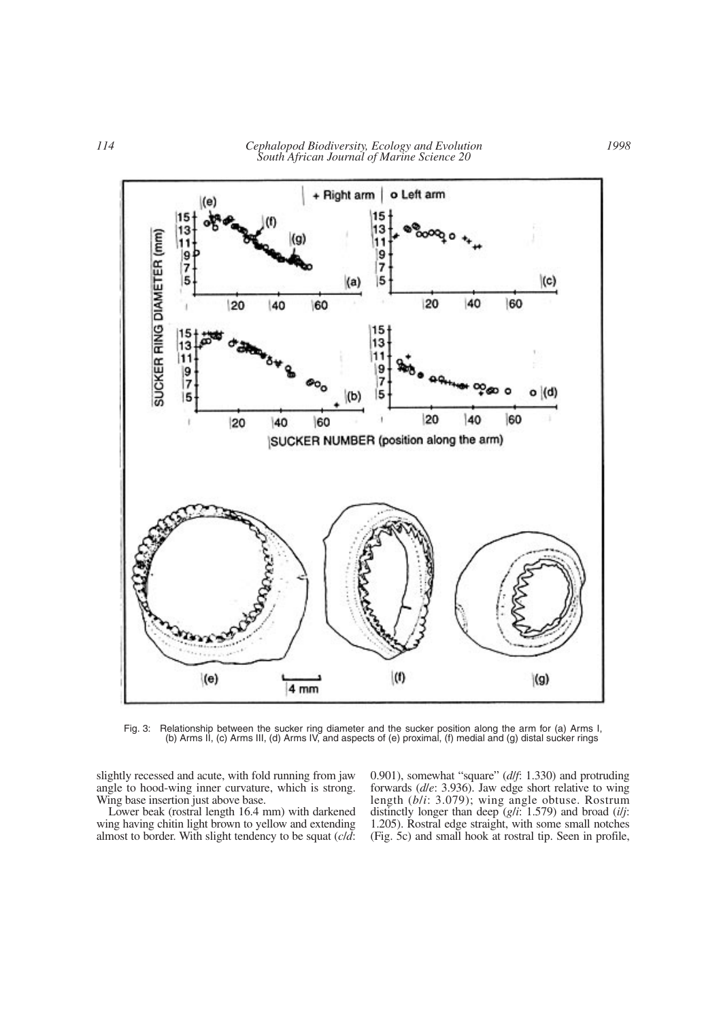

Fig. 3: Relationship between the sucker ring diameter and the sucker position along the arm for (a) Arms I, (b) Arms II, (c) Arms III, (d) Arms IV, and aspects of (e) proximal, (f) medial and (g) distal sucker rings

slightly recessed and acute, with fold running from jaw angle to hood-wing inner curvature, which is strong. Wing base insertion just above base.

Lower beak (rostral length 16.4 mm) with darkened wing having chitin light brown to yellow and extending almost to border. With slight tendency to be squat (*c*/*d*: 0.901), somewhat "square" (*d*/*f*: 1.330) and protruding forwards (*d*/*e*: 3.936). Jaw edge short relative to wing length (*b*/*i*: 3.079); wing angle obtuse. Rostrum distinctly longer than deep (*g*/*i*: 1.579) and broad (*i*/*j*: 1.205). Rostral edge straight, with some small notches (Fig. 5c) and small hook at rostral tip. Seen in profile,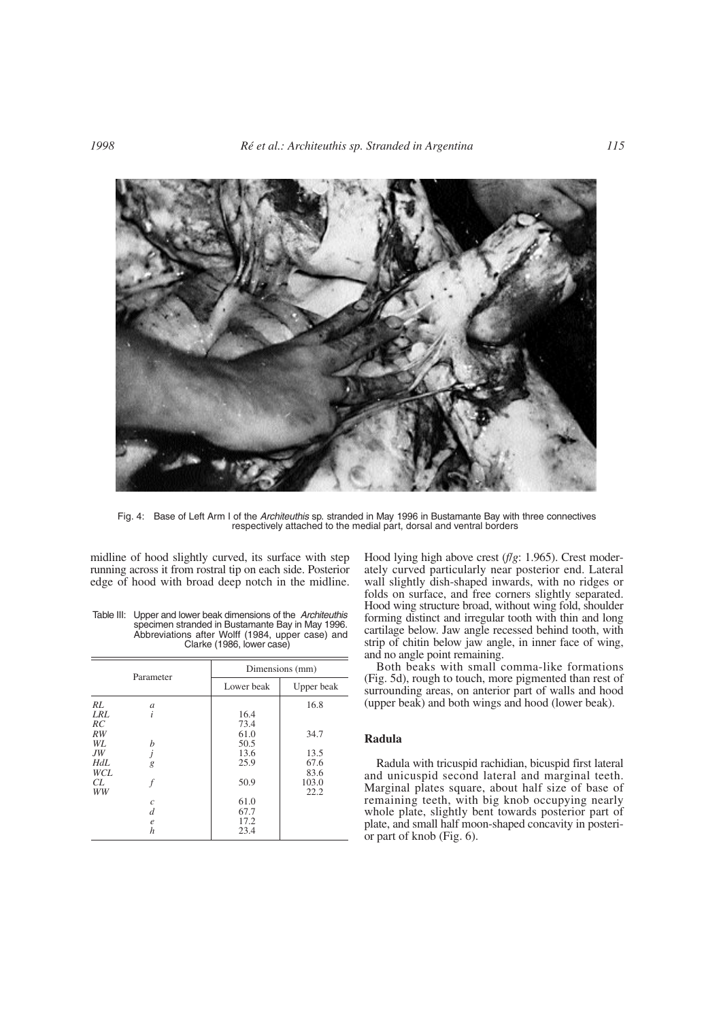

Fig. 4: Base of Left Arm I of the *Architeuthis* sp. stranded in May 1996 in Bustamante Bay with three connectives respectively attached to the medial part, dorsal and ventral borders

midline of hood slightly curved, its surface with step running across it from rostral tip on each side. Posterior edge of hood with broad deep notch in the midline.

|     | Parameter        |            | Dimensions (mm) |  |  |
|-----|------------------|------------|-----------------|--|--|
|     |                  | Lower beak | Upper beak      |  |  |
| RL  | $\mathfrak a$    |            | 16.8            |  |  |
| LRL | $\dot{i}$        | 16.4       |                 |  |  |
| RC  |                  | 73.4       |                 |  |  |
| RW  |                  | 61.0       | 34.7            |  |  |
| WL  | h                | 50.5       |                 |  |  |
| JW  |                  | 13.6       | 13.5            |  |  |
| HdL | g                | 25.9       | 67.6            |  |  |
| WCL |                  |            | 83.6            |  |  |
| CL  |                  | 50.9       | 103.0           |  |  |
| WW  |                  |            | 22.2            |  |  |
|     | $\mathcal{C}$    | 61.0       |                 |  |  |
|     | d                | 67.7       |                 |  |  |
|     | $\boldsymbol{e}$ | 17.2       |                 |  |  |
|     | h                | 23.4       |                 |  |  |

Table III: Upper and lower beak dimensions of the *Architeuthis* specimen stranded in Bustamante Bay in May 1996. Abbreviations after Wolff (1984, upper case) and Clarke (1986, lower case)

Hood lying high above crest (*f*/*g*: 1.965). Crest moderately curved particularly near posterior end. Lateral wall slightly dish-shaped inwards, with no ridges or folds on surface, and free corners slightly separated. Hood wing structure broad, without wing fold, shoulder forming distinct and irregular tooth with thin and long cartilage below. Jaw angle recessed behind tooth, with strip of chitin below jaw angle, in inner face of wing, and no angle point remaining.

Both beaks with small comma-like formations (Fig. 5d), rough to touch, more pigmented than rest of surrounding areas, on anterior part of walls and hood (upper beak) and both wings and hood (lower beak).

# **Radula**

Radula with tricuspid rachidian, bicuspid first lateral and unicuspid second lateral and marginal teeth. Marginal plates square, about half size of base of remaining teeth, with big knob occupying nearly whole plate, slightly bent towards posterior part of plate, and small half moon-shaped concavity in posterior part of knob (Fig. 6).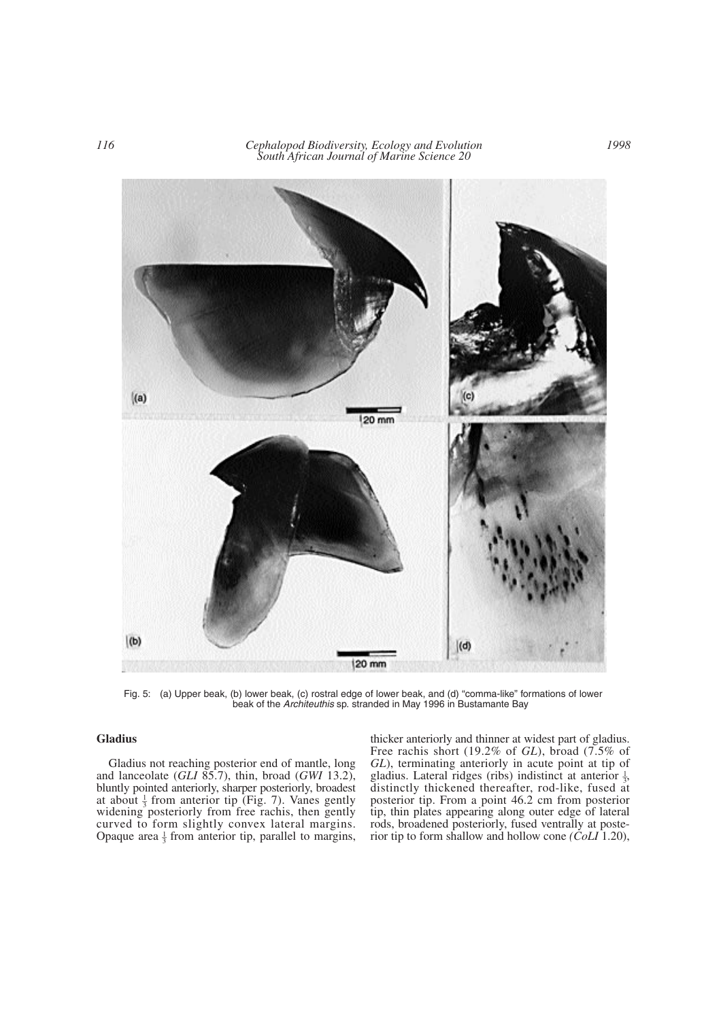

Fig. 5: (a) Upper beak, (b) lower beak, (c) rostral edge of lower beak, and (d) "comma-like" formations of lower beak of the *Architeuthis* sp. stranded in May 1996 in Bustamante Bay

# **Gladius**

Gladius not reaching posterior end of mantle, long and lanceolate (*GLI* 85.7), thin, broad (*GWI* 13.2), bluntly pointed anteriorly, sharper posteriorly, broadest at about  $\frac{1}{3}$  from anterior tip (Fig. 7). Vanes gently widening posteriorly from free rachis, then gently curved to form slightly convex lateral margins. Opaque area  $\frac{1}{3}$  from anterior tip, parallel to margins,

thicker anteriorly and thinner at widest part of gladius. Free rachis short (19.2% of *GL*), broad (7.5% of *GL*), terminating anteriorly in acute point at tip of gladius. Lateral ridges (ribs) indistinct at anterior  $\frac{1}{3}$ , distinctly thickened thereafter, rod-like, fused at posterior tip. From a point 46.2 cm from posterior tip, thin plates appearing along outer edge of lateral rods, broadened posteriorly, fused ventrally at posterior tip to form shallow and hollow cone *(CoLI* 1.20),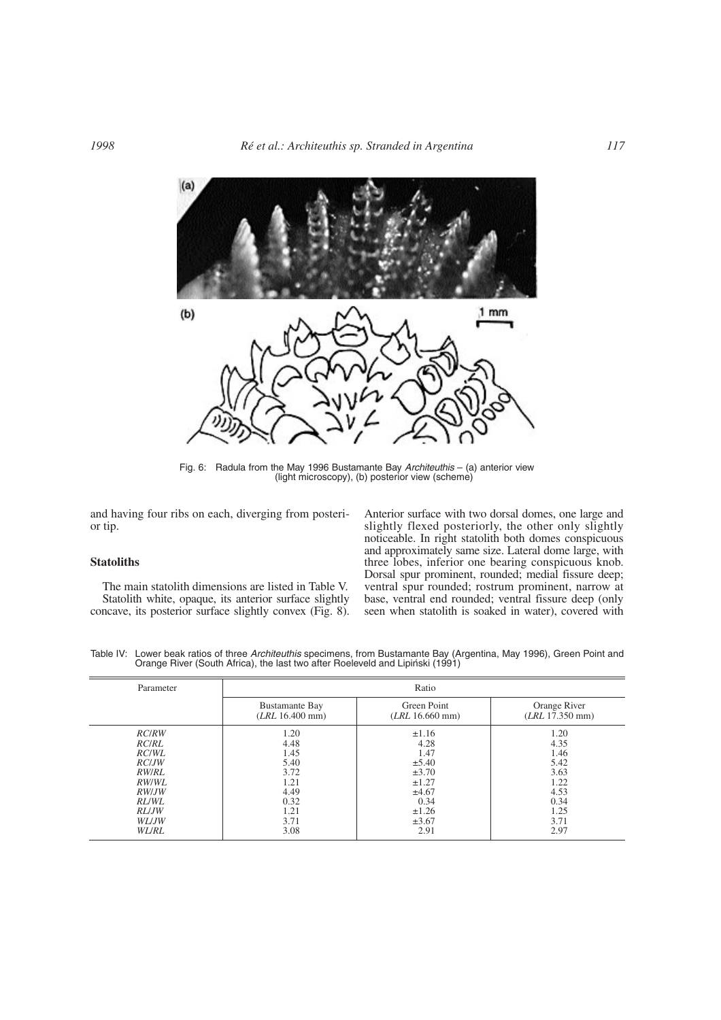

Fig. 6: Radula from the May 1996 Bustamante Bay *Architeuthis* – (a) anterior view (light microscopy), (b) posterior view (scheme)

and having four ribs on each, diverging from posterior tip.

## **Statoliths**

The main statolith dimensions are listed in Table V. Statolith white, opaque, its anterior surface slightly concave, its posterior surface slightly convex (Fig. 8). Anterior surface with two dorsal domes, one large and slightly flexed posteriorly, the other only slightly noticeable. In right statolith both domes conspicuous and approximately same size. Lateral dome large, with three lobes, inferior one bearing conspicuous knob. Dorsal spur prominent, rounded; medial fissure deep; ventral spur rounded; rostrum prominent, narrow at base, ventral end rounded; ventral fissure deep (only seen when statolith is soaked in water), covered with

Table IV: Lower beak ratios of three *Architeuthis* specimens, from Bustamante Bay (Argentina, May 1996), Green Point and Orange River (South Africa), the last two after Roeleveld and Lipinski (1991)

| Parameter     | Ratio                 |                 |                 |  |
|---------------|-----------------------|-----------------|-----------------|--|
|               | <b>Bustamante Bay</b> | Green Point     | Orange River    |  |
|               | (LRL 16.400 mm)       | (LRL 16.660 mm) | (LRL 17.350 mm) |  |
| <b>RC/RW</b>  | 1.20                  | $\pm 1.16$      | 1.20            |  |
| <i>RC/RL</i>  | 4.48                  | 4.28            | 4.35            |  |
| RC/WL         | 1.45                  | 1.47            | 1.46            |  |
| RC/JW         | 5.40                  | $\pm$ 5.40      | 5.42            |  |
| <i>RW/RL</i>  | 3.72                  | $\pm 3.70$      | 3.63            |  |
| <i>RW/WL</i>  | 1.21                  | $\pm 1.27$      | 1.22            |  |
| RW/JW         | 4.49                  | ±4.67           | 4.53            |  |
| <i>RL</i> /WL | 0.32                  | 0.34            | 0.34            |  |
| RL/JW         | 1.21                  | $\pm 1.26$      | 1.25            |  |
| WL/JW         | 3.71                  | $\pm 3.67$      | 3.71            |  |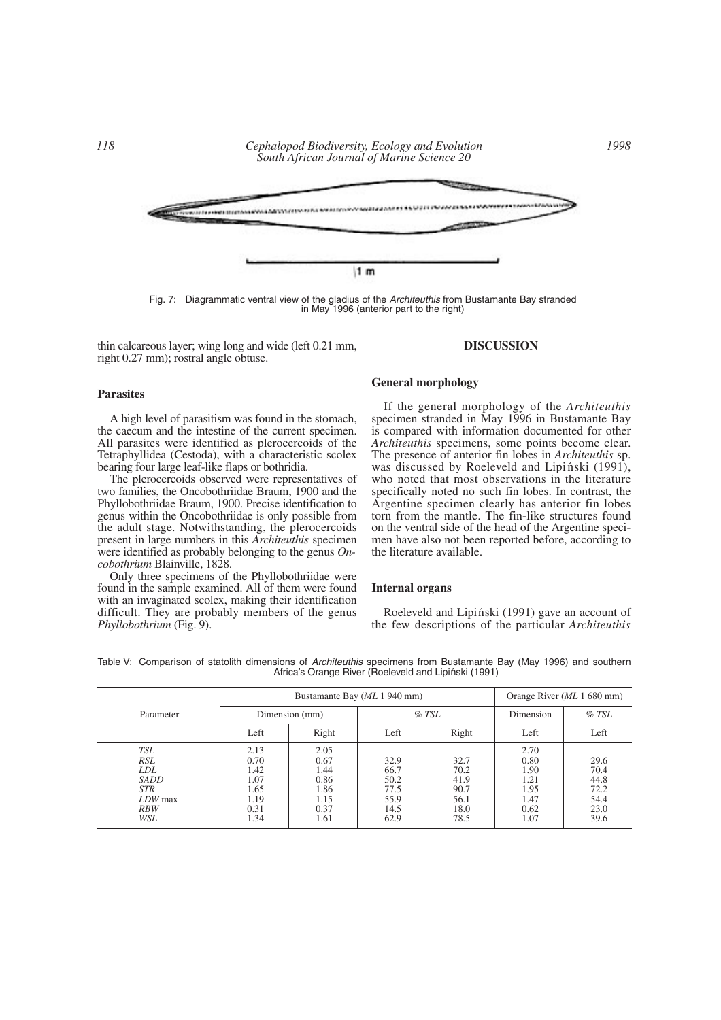

Fig. 7: Diagrammatic ventral view of the gladius of the *Architeuthis* from Bustamante Bay stranded in May 1996 (anterior part to the right)

thin calcareous layer; wing long and wide (left 0.21 mm, right 0.27 mm); rostral angle obtuse.

#### **DISCUSSION**

# **Parasites**

A high level of parasitism was found in the stomach, the caecum and the intestine of the current specimen. All parasites were identified as plerocercoids of the Tetraphyllidea (Cestoda), with a characteristic scolex bearing four large leaf-like flaps or bothridia.

The plerocercoids observed were representatives of two families, the Oncobothriidae Braum, 1900 and the Phyllobothriidae Braum, 1900. Precise identification to genus within the Oncobothriidae is only possible from the adult stage. Notwithstanding, the plerocercoids present in large numbers in this *Architeuthis* specimen were identified as probably belonging to the genus *Oncobothrium* Blainville, 1828.

Only three specimens of the Phyllobothriidae were found in the sample examined. All of them were found with an invaginated scolex, making their identification difficult. They are probably members of the genus *Phyllobothrium* (Fig. 9).

## **General morphology**

If the general morphology of the *Architeuthis* specimen stranded in May 1996 in Bustamante Bay is compared with information documented for other *Architeuthis* specimens, some points become clear. The presence of anterior fin lobes in *Architeuthis* sp. was discussed by Roeleveld and Lipinski  $(1991)$ , who noted that most observations in the literature specifically noted no such fin lobes. In contrast, the Argentine specimen clearly has anterior fin lobes torn from the mantle. The fin-like structures found on the ventral side of the head of the Argentine specimen have also not been reported before, according to the literature available.

## **Internal organs**

Roeleveld and Lipinski (1991) gave an account of the few descriptions of the particular *Architeuthis*

|                                                                            | Bustamante Bay ( <i>ML</i> 1 940 mm)                         |                                                              |                                                      |                                                      | Orange River ( <i>ML</i> 1 680 mm)                           |                                                      |
|----------------------------------------------------------------------------|--------------------------------------------------------------|--------------------------------------------------------------|------------------------------------------------------|------------------------------------------------------|--------------------------------------------------------------|------------------------------------------------------|
| Parameter                                                                  | Dimension (mm)                                               |                                                              | $%$ TSL                                              |                                                      | Dimension                                                    | $%$ TSL                                              |
|                                                                            | Left                                                         | Right                                                        | Left                                                 | Right                                                | Left                                                         | Left                                                 |
| TSL<br>RSL<br>LDL.<br>SADD<br><b>STR</b><br>$LDW$ max<br><b>RBW</b><br>WSL | 2.13<br>0.70<br>1.42<br>1.07<br>1.65<br>1.19<br>0.31<br>1.34 | 2.05<br>0.67<br>1.44<br>0.86<br>1.86<br>1.15<br>0.37<br>1.61 | 32.9<br>66.7<br>50.2<br>77.5<br>55.9<br>14.5<br>62.9 | 32.7<br>70.2<br>41.9<br>90.7<br>56.1<br>18.0<br>78.5 | 2.70<br>0.80<br>1.90<br>1.21<br>1.95<br>1.47<br>0.62<br>1.07 | 29.6<br>70.4<br>44.8<br>72.2<br>54.4<br>23.0<br>39.6 |

Table V: Comparison of statolith dimensions of *Architeuthis* specimens from Bustamante Bay (May 1996) and southern Africa's Orange River (Roeleveld and Lipiński (1991)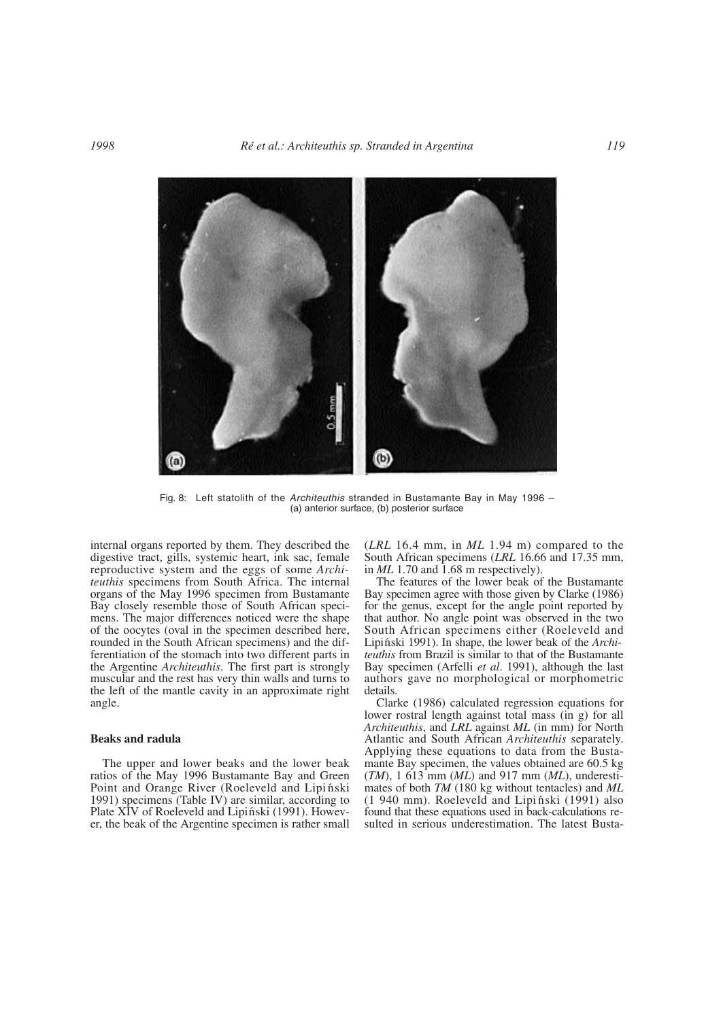

Fig. 8: Left statolith of the *Architeuthis* stranded in Bustamante Bay in May 1996 – (a) anterior surface, (b) posterior surface

internal organs reported by them. They described the digestive tract, gills, systemic heart, ink sac, female reproductive system and the eggs of some *Architeuthis* specimens from South Africa. The internal organs of the May 1996 specimen from Bustamante Bay closely resemble those of South African specimens. The major differences noticed were the shape of the oocytes (oval in the specimen described here, rounded in the South African specimens) and the differentiation of the stomach into two different parts in the Argentine *Architeuthis*. The first part is strongly muscular and the rest has very thin walls and turns to the left of the mantle cavity in an approximate right angle.

## **Beaks and radula**

The upper and lower beaks and the lower beak ratios of the May 1996 Bustamante Bay and Green Point and Orange River (Roeleveld and Lipiński 1991) specimens (Table IV) are similar, according to Plate XIV of Roeleveld and Lipiński (1991). However, the beak of the Argentine specimen is rather small (*LRL* 16.4 mm, in *ML* 1.94 m) compared to the South African specimens (*LRL* 16.66 and 17.35 mm, in *ML* 1.70 and 1.68 m respectively).

The features of the lower beak of the Bustamante Bay specimen agree with those given by Clarke (1986) for the genus, except for the angle point reported by that author. No angle point was observed in the two South African specimens either (Roeleveld and Lipinski 1991). In shape, the lower beak of the *Architeuthis* from Brazil is similar to that of the Bustamante Bay specimen (Arfelli *et al*. 1991), although the last authors gave no morphological or morphometric details.

Clarke (1986) calculated regression equations for lower rostral length against total mass (in g) for all *Architeuthis*, and *LRL* against *ML* (in mm) for North Atlantic and South African *Architeuthis* separately. Applying these equations to data from the Bustamante Bay specimen, the values obtained are 60.5 kg (*TM*), 1 613 mm (*ML*) and 917 mm (*ML*), underestimates of both *TM* (180 kg without tentacles) and *ML*  $(1 940$  mm). Roeleveld and Lipinski  $(1991)$  also found that these equations used in back-calculations resulted in serious underestimation. The latest Busta-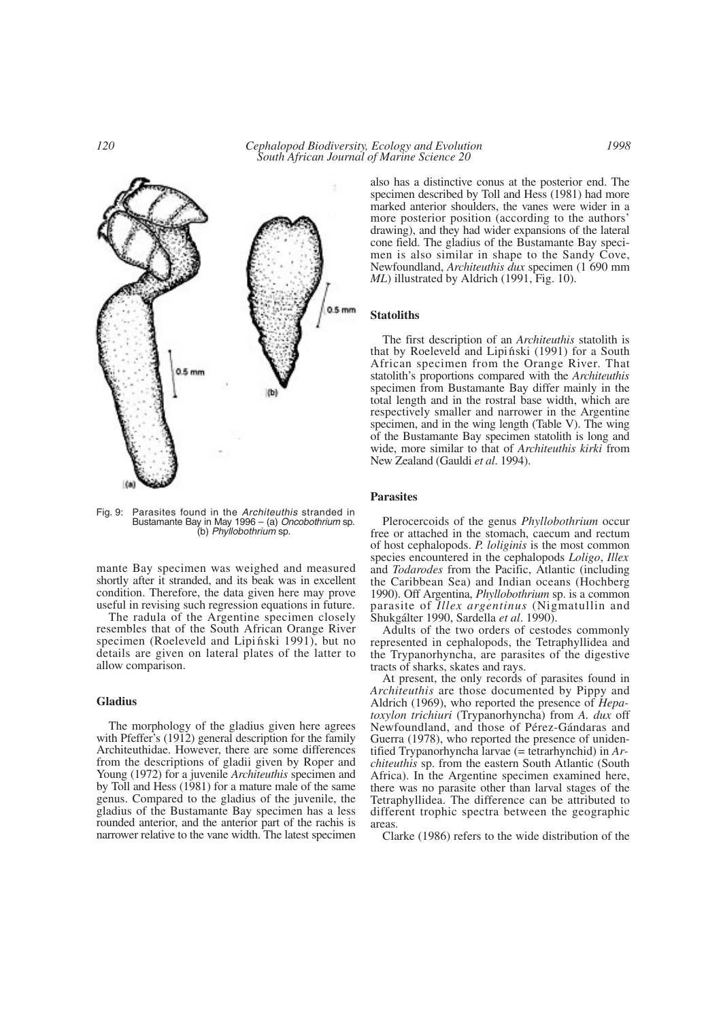

Fig. 9: Parasites found in the *Architeuthis* stranded in Bustamante Bay in May 1996 – (a) *Oncobothrium* sp. (b) *Phyllobothrium* sp.

mante Bay specimen was weighed and measured shortly after it stranded, and its beak was in excellent condition. Therefore, the data given here may prove useful in revising such regression equations in future.

The radula of the Argentine specimen closely resembles that of the South African Orange River specimen (Roeleveld and Lipiński 1991), but no details are given on lateral plates of the latter to allow comparison.

## **Gladius**

The morphology of the gladius given here agrees with Pfeffer's (1912) general description for the family Architeuthidae. However, there are some differences from the descriptions of gladii given by Roper and Young (1972) for a juvenile *Architeuthis* specimen and by Toll and Hess (1981) for a mature male of the same genus. Compared to the gladius of the juvenile, the gladius of the Bustamante Bay specimen has a less rounded anterior, and the anterior part of the rachis is narrower relative to the vane width. The latest specimen also has a distinctive conus at the posterior end. The specimen described by Toll and Hess (1981) had more marked anterior shoulders, the vanes were wider in a more posterior position (according to the authors' drawing), and they had wider expansions of the lateral cone field. The gladius of the Bustamante Bay specimen is also similar in shape to the Sandy Cove, Newfoundland, *Architeuthis dux* specimen (1 690 mm *ML*) illustrated by Aldrich (1991, Fig. 10).

## **Statoliths**

The first description of an *Architeuthis* statolith is that by Roeleveld and Lipiński (1991) for a South African specimen from the Orange River. That statolith's proportions compared with the *Architeuthis* specimen from Bustamante Bay differ mainly in the total length and in the rostral base width, which are respectively smaller and narrower in the Argentine specimen, and in the wing length (Table V). The wing of the Bustamante Bay specimen statolith is long and wide, more similar to that of *Architeuthis kirki* from New Zealand (Gauldi *et al*. 1994).

# **Parasites**

Plerocercoids of the genus *Phyllobothrium* occur free or attached in the stomach, caecum and rectum of host cephalopods. *P. loliginis* is the most common species encountered in the cephalopods *Loligo*, *Illex* and *Todarodes* from the Pacific, Atlantic (including the Caribbean Sea) and Indian oceans (Hochberg 1990). Off Argentina, *Phyllobothrium* sp. is a common parasite of *Illex argentinus* (Nigmatullin and Shukgálter 1990, Sardella *et al*. 1990).

Adults of the two orders of cestodes commonly represented in cephalopods, the Tetraphyllidea and the Trypanorhyncha, are parasites of the digestive tracts of sharks, skates and rays.

At present, the only records of parasites found in *Architeuthis* are those documented by Pippy and Aldrich (1969), who reported the presence of *Hepatoxylon trichiuri* (Trypanorhyncha) from *A. dux* off Newfoundland, and those of Pérez-Gándaras and Guerra (1978), who reported the presence of unidentified Trypanorhyncha larvae (= tetrarhynchid) in *Architeuthis* sp. from the eastern South Atlantic (South Africa). In the Argentine specimen examined here, there was no parasite other than larval stages of the Tetraphyllidea. The difference can be attributed to different trophic spectra between the geographic areas.

Clarke (1986) refers to the wide distribution of the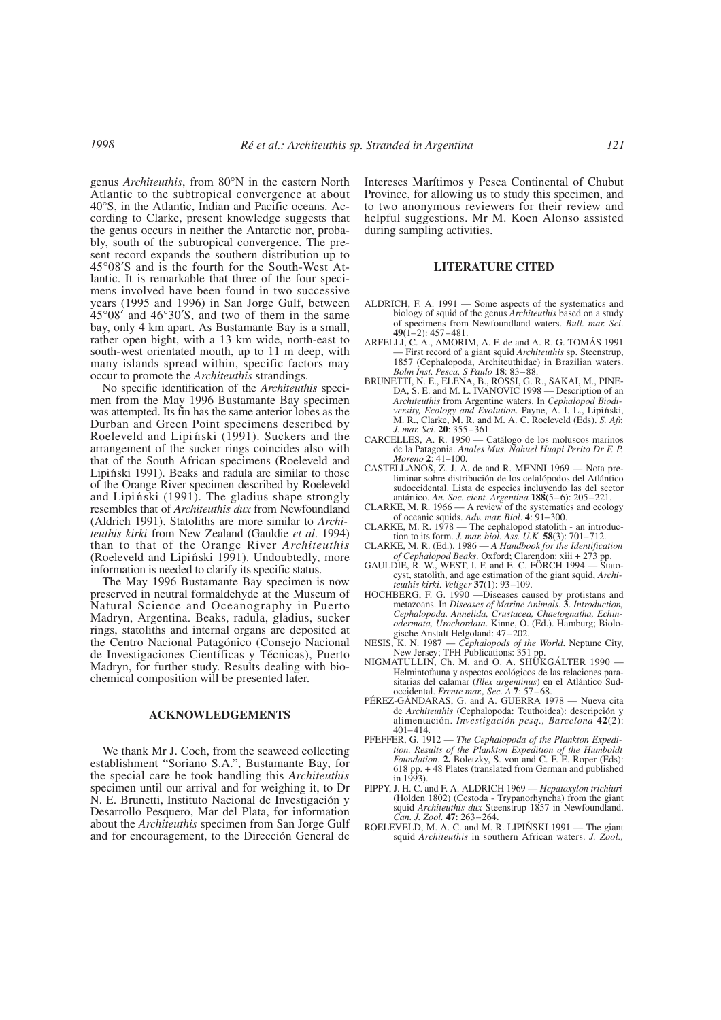genus *Architeuthis*, from 80°N in the eastern North Atlantic to the subtropical convergence at about 40°S, in the Atlantic, Indian and Pacific oceans. According to Clarke, present knowledge suggests that the genus occurs in neither the Antarctic nor, probably, south of the subtropical convergence. The present record expands the southern distribution up to 45°08′S and is the fourth for the South-West Atlantic. It is remarkable that three of the four specimens involved have been found in two successive years (1995 and 1996) in San Jorge Gulf, between 45°08′ and 46°30′S, and two of them in the same bay, only 4 km apart. As Bustamante Bay is a small, rather open bight, with a 13 km wide, north-east to south-west orientated mouth, up to 11 m deep, with many islands spread within, specific factors may occur to promote the *Architeuthis* strandings.

No specific identification of the *Architeuthis* specimen from the May 1996 Bustamante Bay specimen was attempted. Its fin has the same anterior lobes as the Durban and Green Point specimens described by Roeleveld and Lipinski (1991). Suckers and the arrangement of the sucker rings coincides also with that of the South African specimens (Roeleveld and Lipiński 1991). Beaks and radula are similar to those of the Orange River specimen described by Roeleveld and Lipiński (1991). The gladius shape strongly resembles that of *Architeuthis dux* from Newfoundland (Aldrich 1991). Statoliths are more similar to *Architeuthis kirki* from New Zealand (Gauldie *et al*. 1994) than to that of the Orange River *Architeuthis* (Roeleveld and Lipiński 1991). Undoubtedly, more information is needed to clarify its specific status.

The May 1996 Bustamante Bay specimen is now preserved in neutral formaldehyde at the Museum of Natural Science and Oceanography in Puerto Madryn, Argentina. Beaks, radula, gladius, sucker rings, statoliths and internal organs are deposited at the Centro Nacional Patagónico (Consejo Nacional de Investigaciones Científicas y Técnicas), Puerto Madryn, for further study. Results dealing with biochemical composition will be presented later.

## **ACKNOWLEDGEMENTS**

We thank Mr J. Coch, from the seaweed collecting establishment "Soriano S.A.", Bustamante Bay, for the special care he took handling this *Architeuthis* specimen until our arrival and for weighing it, to Dr N. E. Brunetti, Instituto Nacional de Investigación y Desarrollo Pesquero, Mar del Plata, for information about the *Architeuthis* specimen from San Jorge Gulf and for encouragement, to the Dirección General de

Intereses Marítimos y Pesca Continental of Chubut Province, for allowing us to study this specimen, and to two anonymous reviewers for their review and helpful suggestions. Mr M. Koen Alonso assisted during sampling activities.

## **LITERATURE CITED**

- ALDRICH, F. A. 1991 Some aspects of the systematics and biology of squid of the genus *Architeuthis* based on a study of specimens from Newfoundland waters. *Bull. mar. Sci*. **49**(1–2): 457–481.
- ARFELLI, C. A., AMORIM, A. F. de and A. R. G. TOMÁS 1991 — First record of a giant squid *Architeuthis* sp. Steenstrup, 1857 (Cephalopoda, Architeuthidae) in Brazilian waters. *Bolm Inst. Pesca, S Paulo* **18**: 83–88.
- BRUNETTI, N. E., ELENA, B., ROSSI, G. R., SAKAI, M., PINE-DA, S. E. and M. L. IVANOVIC 1998 — Description of an *Architeuthis* from Argentine waters. In *Cephalopod Biodiversity, Ecology and Evolution*. Payne, A. I. L., Lipiński, M. R., Clarke, M. R. and M. A. C. Roeleveld (Eds). *S. Afr. J. mar. Sci*. **20**: 355–361.
- CARCELLES, A. R. 1950 Catálogo de los moluscos marinos de la Patagonia. *Anales Mus. Nahuel Huapi Perito Dr F. P. Moreno* **2**: 41–100.
- CASTELLANOS, Z. J. A. de and R. MENNI 1969 Nota preliminar sobre distribución de los cefalópodos del Atlántico sudoccidental. Lista de especies incluyendo las del sector antártico. *An. Soc. cient. Argentina* **188**(5–6): 205–221.
- CLARKE, M. R. 1966 A review of the systematics and ecology of oceanic squids. *Adv. mar. Biol*. **4**: 91–300.
- CLARKE, M. R. 1978 The cephalopod statolith an introduc-tion to its form. *J. mar. biol. Ass. U.K.* **58**(3): 701–712.
- CLARKE, M. R. (Ed.). 1986 *A Handbook for the Identification of Cephalopod Beaks*. Oxford; Clarendon: xiii + 273 pp.
- GAULDIE, R. W., WEST, I. F. and E. C. FÖRCH 1994 Statocyst, statolith, and age estimation of the giant squid, *Architeuthis kirki*. *Veliger* **37**(1): 93–109.
- HOCHBERG, F. G. 1990 Diseases caused by protistans and metazoans. In *Diseases of Marine Animals*. **3**. *Introduction, Cephalopoda, Annelida, Crustacea, Chaetognatha, Echinodermata, Urochordata*. Kinne, O. (Ed.). Hamburg; Biologische Anstalt Helgoland: 47–202.
- NESIS, K. N. 1987 *Cephalopods of the World*. Neptune City, New Jersey; TFH Publications: 351 pp.
- NIGMATULLIN, Ch. M. and O. A. SHUKGÁLTER 1990 Helmintofauna y aspectos ecológicos de las relaciones parasitarias del calamar (*Illex argentinus*) en el Atlántico Sudoccidental. *Frente mar., Sec. A* **7**: 57–68.
- PÉREZ-GÁNDARAS, G. and A. GUERRA 1978 Nueva cita de *Architeuthis* (Cephalopoda: Teuthoidea): descripción y alimentación. *Investigación pesq., Barcelona* **42**(2): 401–414.
- PFEFFER, G. 1912 *The Cephalopoda of the Plankton Expedition. Results of the Plankton Expedition of the Humboldt Foundation*. **2.** Boletzky, S. von and C. F. E. Roper (Eds): 618 pp. + 48 Plates (translated from German and published in  $1993$ ).
- PIPPY, J. H. C. and F. A. ALDRICH 1969 *Hepatoxylon trichiuri* (Holden 1802) (Cestoda - Trypanorhyncha) from the giant squid *Architeuthis dux* Steenstrup 1857 in Newfoundland.
- *Can. J. Zool.* **47**: 263–264.<br>ROELEVELD, M. A. C. and M. R. LIPIŃSKI 1991 The giant squid *Architeuthis* in southern African waters. *J. Zool.,*